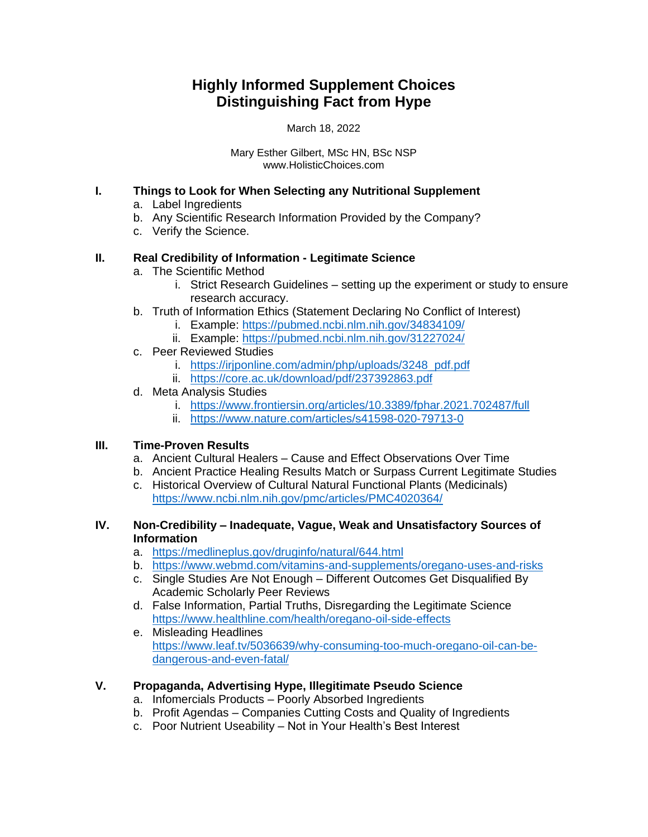# **Highly Informed Supplement Choices Distinguishing Fact from Hype**

March 18, 2022

Mary Esther Gilbert, MSc HN, BSc NSP www.HolisticChoices.com

## **I. Things to Look for When Selecting any Nutritional Supplement**

- a. Label Ingredients
- b. Any Scientific Research Information Provided by the Company?
- c. Verify the Science.

# **II. Real Credibility of Information - Legitimate Science**

- a. The Scientific Method
	- i. Strict Research Guidelines setting up the experiment or study to ensure research accuracy.
- b. Truth of Information Ethics (Statement Declaring No Conflict of Interest)
	- i. Example:<https://pubmed.ncbi.nlm.nih.gov/34834109/>
	- ii. Example:<https://pubmed.ncbi.nlm.nih.gov/31227024/>
- c. Peer Reviewed Studies
	- i. [https://irjponline.com/admin/php/uploads/3248\\_pdf.pdf](https://irjponline.com/admin/php/uploads/3248_pdf.pdf)
	- ii. <https://core.ac.uk/download/pdf/237392863.pdf>
- d. Meta Analysis Studies
	- i. <https://www.frontiersin.org/articles/10.3389/fphar.2021.702487/full>
	- ii. <https://www.nature.com/articles/s41598-020-79713-0>

# **III. Time-Proven Results**

- a. Ancient Cultural Healers Cause and Effect Observations Over Time
- b. Ancient Practice Healing Results Match or Surpass Current Legitimate Studies
- c. Historical Overview of Cultural Natural Functional Plants (Medicinals) <https://www.ncbi.nlm.nih.gov/pmc/articles/PMC4020364/>

### **IV. Non-Credibility – Inadequate, Vague, Weak and Unsatisfactory Sources of Information**

- a. <https://medlineplus.gov/druginfo/natural/644.html>
- b. <https://www.webmd.com/vitamins-and-supplements/oregano-uses-and-risks>
- c. Single Studies Are Not Enough Different Outcomes Get Disqualified By Academic Scholarly Peer Reviews
- d. False Information, Partial Truths, Disregarding the Legitimate Science <https://www.healthline.com/health/oregano-oil-side-effects>
- e. Misleading Headlines [https://www.leaf.tv/5036639/why-consuming-too-much-oregano-oil-can-be](https://www.leaf.tv/5036639/why-consuming-too-much-oregano-oil-can-be-dangerous-and-even-fatal/)[dangerous-and-even-fatal/](https://www.leaf.tv/5036639/why-consuming-too-much-oregano-oil-can-be-dangerous-and-even-fatal/)

# **V. Propaganda, Advertising Hype, Illegitimate Pseudo Science**

- a. Infomercials Products Poorly Absorbed Ingredients
- b. Profit Agendas Companies Cutting Costs and Quality of Ingredients
- c. Poor Nutrient Useability Not in Your Health's Best Interest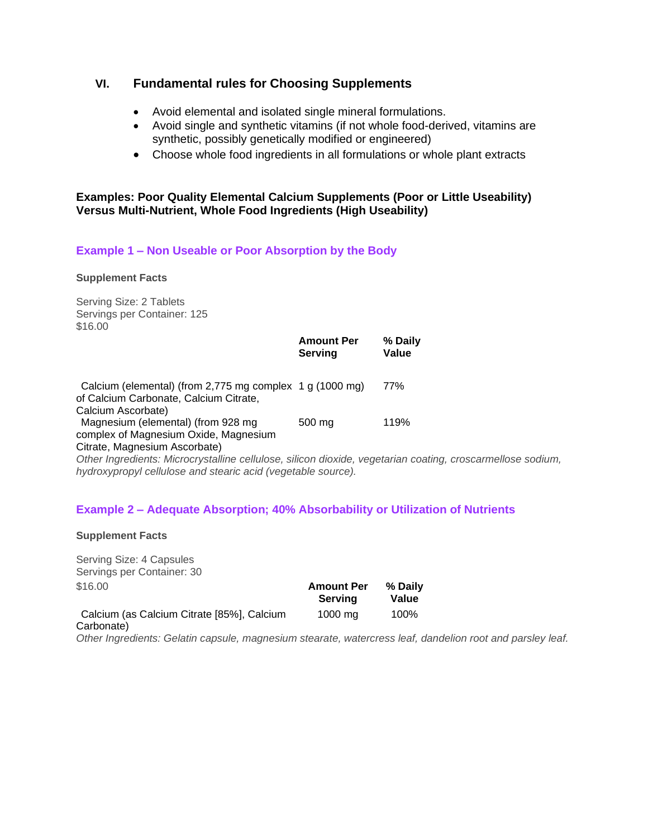# **VI. Fundamental rules for Choosing Supplements**

- Avoid elemental and isolated single mineral formulations.
- Avoid single and synthetic vitamins (if not whole food-derived, vitamins are synthetic, possibly genetically modified or engineered)
- Choose whole food ingredients in all formulations or whole plant extracts

#### **Examples: Poor Quality Elemental Calcium Supplements (Poor or Little Useability) Versus Multi-Nutrient, Whole Food Ingredients (High Useability)**

### **Example 1 – Non Useable or Poor Absorption by the Body**

#### **Supplement Facts**

Serving Size: 2 Tablets Servings per Container: 125 \$16.00

|                                                                                                                                    | <b>Amount Per</b><br>Serving | % Daily<br>Value |
|------------------------------------------------------------------------------------------------------------------------------------|------------------------------|------------------|
| Calcium (elemental) (from 2,775 mg complex 1 g (1000 mg)<br>of Calcium Carbonate, Calcium Citrate,                                 |                              | 77%              |
| Calcium Ascorbate)<br>Magnesium (elemental) (from 928 mg<br>complex of Magnesium Oxide, Magnesium<br>Citrate, Magnesium Ascorbate) | 500 mg                       | 119%             |

*Other Ingredients: Microcrystalline cellulose, silicon dioxide, vegetarian coating, croscarmellose sodium, hydroxypropyl cellulose and stearic acid (vegetable source).*

#### **Example 2 – Adequate Absorption; 40% Absorbability or Utilization of Nutrients**

**Supplement Facts**

Serving Size: 4 Capsules Servings per Container: 30

| \$16.00                                    | <b>Amount Per</b><br>Servina | % Daily<br>Value |  |
|--------------------------------------------|------------------------------|------------------|--|
| Calcium (as Calcium Citrate [85%], Calcium | 1000 ma                      | 100%             |  |
| Carbonate)                                 |                              |                  |  |

*Other Ingredients: Gelatin capsule, magnesium stearate, watercress leaf, dandelion root and parsley leaf.*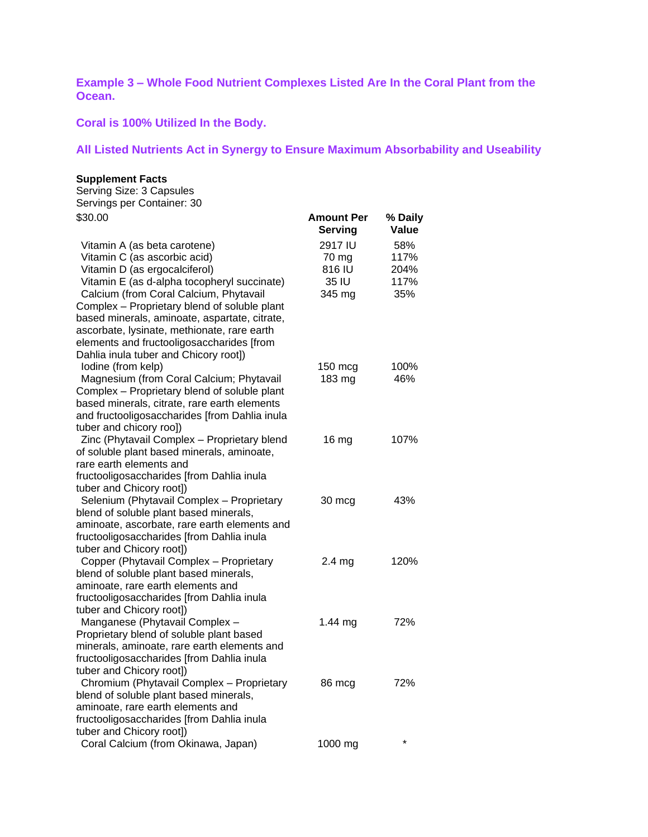**Example 3 – Whole Food Nutrient Complexes Listed Are In the Coral Plant from the Ocean.** 

**Coral is 100% Utilized In the Body.** 

# **All Listed Nutrients Act in Synergy to Ensure Maximum Absorbability and Useability**

#### **Supplement Facts**

| Serving Size: 3 Capsules                                                                                                                                                                                                                   |                                               |                                    |
|--------------------------------------------------------------------------------------------------------------------------------------------------------------------------------------------------------------------------------------------|-----------------------------------------------|------------------------------------|
| Servings per Container: 30                                                                                                                                                                                                                 |                                               |                                    |
| \$30.00                                                                                                                                                                                                                                    | <b>Amount Per</b><br><b>Serving</b>           | % Daily<br>Value                   |
| Vitamin A (as beta carotene)<br>Vitamin C (as ascorbic acid)<br>Vitamin D (as ergocalciferol)<br>Vitamin E (as d-alpha tocopheryl succinate)<br>Calcium (from Coral Calcium, Phytavail                                                     | 2917 IU<br>70 mg<br>816 IU<br>35 IU<br>345 mg | 58%<br>117%<br>204%<br>117%<br>35% |
| Complex - Proprietary blend of soluble plant<br>based minerals, aminoate, aspartate, citrate,<br>ascorbate, lysinate, methionate, rare earth<br>elements and fructooligosaccharides [from<br>Dahlia inula tuber and Chicory root])         |                                               |                                    |
| lodine (from kelp)<br>Magnesium (from Coral Calcium; Phytavail<br>Complex - Proprietary blend of soluble plant<br>based minerals, citrate, rare earth elements<br>and fructooligosaccharides [from Dahlia inula<br>tuber and chicory roo]) | $150 \text{ mcg}$<br>183 mg                   | 100%<br>46%                        |
| Zinc (Phytavail Complex - Proprietary blend<br>of soluble plant based minerals, aminoate,<br>rare earth elements and<br>fructooligosaccharides [from Dahlia inula<br>tuber and Chicory root])                                              | 16 <sub>mg</sub>                              | 107%                               |
| Selenium (Phytavail Complex - Proprietary<br>blend of soluble plant based minerals,<br>aminoate, ascorbate, rare earth elements and<br>fructooligosaccharides [from Dahlia inula<br>tuber and Chicory root])                               | 30 mcg                                        | 43%                                |
| Copper (Phytavail Complex - Proprietary<br>blend of soluble plant based minerals,<br>aminoate, rare earth elements and<br>fructooligosaccharides [from Dahlia inula<br>tuber and Chicory root])                                            | $2.4 \mathrm{mg}$                             | 120%                               |
| Manganese (Phytavail Complex -<br>Proprietary blend of soluble plant based<br>minerals, aminoate, rare earth elements and<br>fructooligosaccharides [from Dahlia inula<br>tuber and Chicory root])                                         | 1.44 $mg$                                     | 72%                                |
| Chromium (Phytavail Complex - Proprietary<br>blend of soluble plant based minerals,<br>aminoate, rare earth elements and<br>fructooligosaccharides [from Dahlia inula<br>tuber and Chicory root])                                          | 86 mcg                                        | 72%                                |
| Coral Calcium (from Okinawa, Japan)                                                                                                                                                                                                        | 1000 mg                                       | *                                  |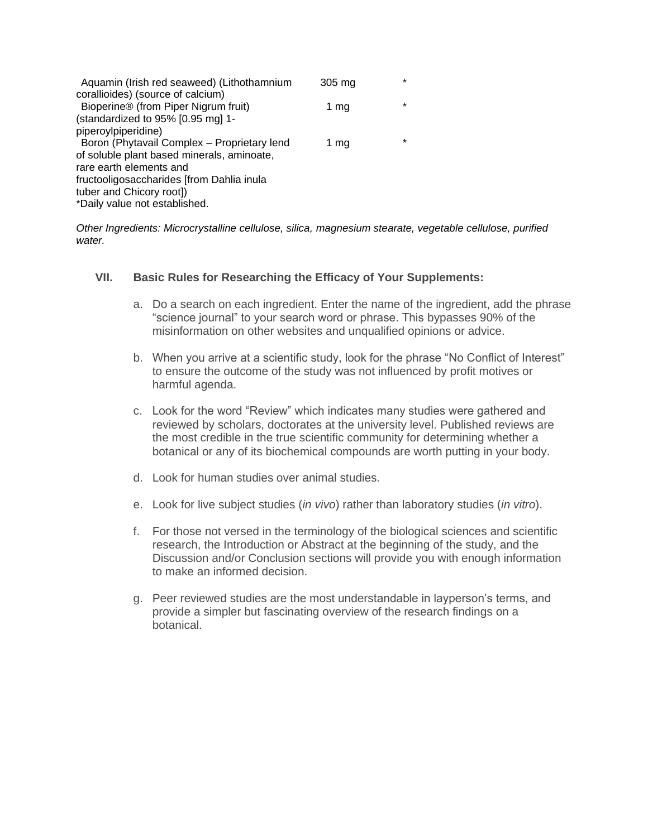| Aquamin (Irish red seaweed) (Lithothamnium  | 305 mg | *       |
|---------------------------------------------|--------|---------|
| corallioides) (source of calcium)           |        |         |
| Bioperine® (from Piper Nigrum fruit)        | 1 $mg$ | $\star$ |
| (standardized to 95% [0.95 mg] 1-           |        |         |
| piperoylpiperidine)                         |        |         |
| Boron (Phytavail Complex - Proprietary lend | 1 mg   | *       |
| of soluble plant based minerals, aminoate,  |        |         |
| rare earth elements and                     |        |         |
| fructooligosaccharides [from Dahlia inula]  |        |         |
| tuber and Chicory root])                    |        |         |
| *Daily value not established.               |        |         |

*Other Ingredients: Microcrystalline cellulose, silica, magnesium stearate, vegetable cellulose, purified water.*

#### **VII. Basic Rules for Researching the Efficacy of Your Supplements:**

- a. Do a search on each ingredient. Enter the name of the ingredient, add the phrase "science journal" to your search word or phrase. This bypasses 90% of the misinformation on other websites and unqualified opinions or advice.
- b. When you arrive at a scientific study, look for the phrase "No Conflict of Interest" to ensure the outcome of the study was not influenced by profit motives or harmful agenda.
- c. Look for the word "Review" which indicates many studies were gathered and reviewed by scholars, doctorates at the university level. Published reviews are the most credible in the true scientific community for determining whether a botanical or any of its biochemical compounds are worth putting in your body.
- d. Look for human studies over animal studies.
- e. Look for live subject studies (*in vivo*) rather than laboratory studies (*in vitro*).
- f. For those not versed in the terminology of the biological sciences and scientific research, the Introduction or Abstract at the beginning of the study, and the Discussion and/or Conclusion sections will provide you with enough information to make an informed decision.
- g. Peer reviewed studies are the most understandable in layperson's terms, and provide a simpler but fascinating overview of the research findings on a botanical.